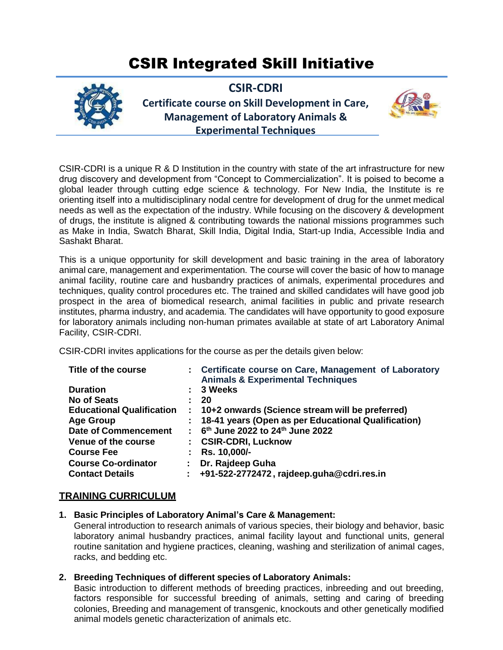# CSIR Integrated Skill Initiative



**CSIR-CDRI Certificate course on Skill Development in Care, Management of Laboratory Animals & Experimental Techniques**



CSIR-CDRI is a unique R & D Institution in the country with state of the art infrastructure for new drug discovery and development from "Concept to Commercialization". It is poised to become a global leader through cutting edge science & technology. For New India, the Institute is re orienting itself into a multidisciplinary nodal centre for development of drug for the unmet medical needs as well as the expectation of the industry. While focusing on the discovery & development of drugs, the institute is aligned & contributing towards the national missions programmes such as Make in India, Swatch Bharat, Skill India, Digital India, Start-up India, Accessible India and Sashakt Bharat.

This is a unique opportunity for skill development and basic training in the area of laboratory animal care, management and experimentation. The course will cover the basic of how to manage animal facility, routine care and husbandry practices of animals, experimental procedures and techniques, quality control procedures etc. The trained and skilled candidates will have good job prospect in the area of biomedical research, animal facilities in public and private research institutes, pharma industry, and academia. The candidates will have opportunity to good exposure for laboratory animals including non-human primates available at state of art Laboratory Animal Facility, CSIR-CDRI.

CSIR-CDRI invites applications for the course as per the details given below:

| Title of the course              |                | : Certificate course on Care, Management of Laboratory<br><b>Animals &amp; Experimental Techniques</b> |
|----------------------------------|----------------|--------------------------------------------------------------------------------------------------------|
| <b>Duration</b>                  |                | 3 Weeks                                                                                                |
| <b>No of Seats</b>               |                | 20                                                                                                     |
| <b>Educational Qualification</b> | $\mathbb{R}^n$ | 10+2 onwards (Science stream will be preferred)                                                        |
| <b>Age Group</b>                 |                | : 18-41 years (Open as per Educational Qualification)                                                  |
| <b>Date of Commencement</b>      |                | : 6 <sup>th</sup> June 2022 to 24 <sup>th</sup> June 2022                                              |
| Venue of the course              |                | : CSIR-CDRI, Lucknow                                                                                   |
| <b>Course Fee</b>                |                | Rs. 10,000/-                                                                                           |
| <b>Course Co-ordinator</b>       |                | Dr. Rajdeep Guha                                                                                       |
| <b>Contact Details</b>           | ÷.             | +91-522-2772472, rajdeep.guha@cdri.res.in                                                              |

## **TRAINING CURRICULUM**

**1. Basic Principles of Laboratory Animal's Care & Management:**

General introduction to research animals of various species, their biology and behavior, basic laboratory animal husbandry practices, animal facility layout and functional units, general routine sanitation and hygiene practices, cleaning, washing and sterilization of animal cages, racks, and bedding etc.

**2. Breeding Techniques of different species of Laboratory Animals:**

Basic introduction to different methods of breeding practices, inbreeding and out breeding, factors responsible for successful breeding of animals, setting and caring of breeding colonies, Breeding and management of transgenic, knockouts and other genetically modified animal models genetic characterization of animals etc.